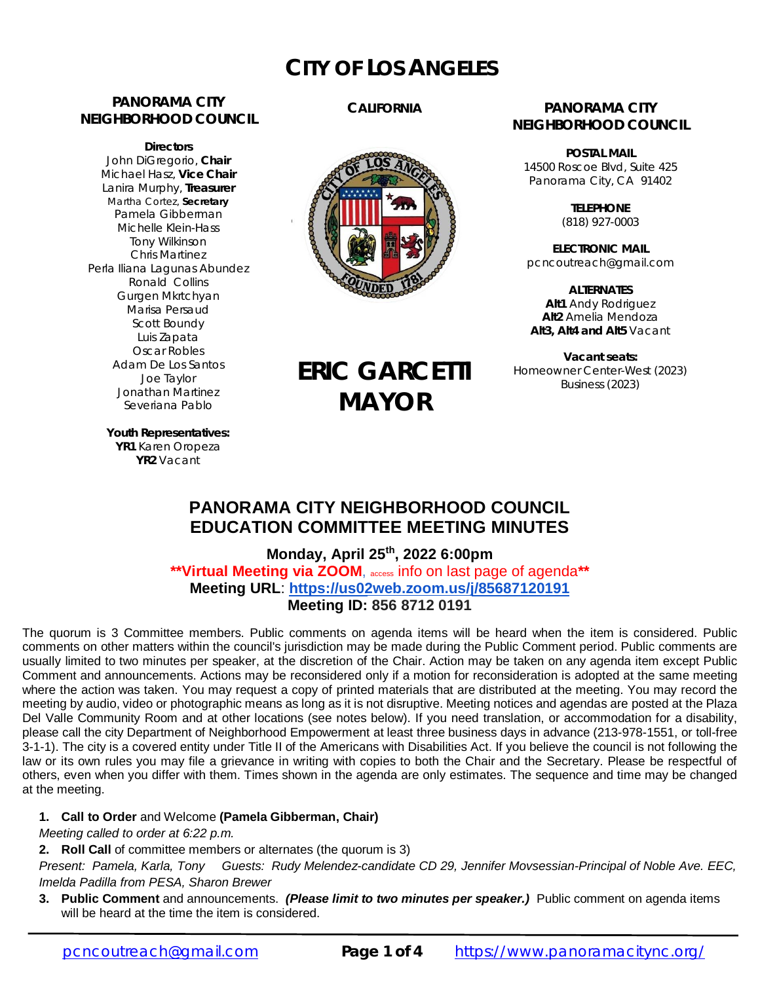# **CITY OF LOS ANGELES**

# **PANORAMA CITY NEIGHBORHOOD COUNCIL**

**Directors** John DiGregorio, **Chair** Michael Hasz, **Vice Chair** Lanira Murphy, **Treasurer** Martha Cortez, **Secretary** Pamela Gibberman Michelle Klein-Hass Tony Wilkinson Chris Martinez Perla Iliana Lagunas Abundez Ronald Collins Gurgen Mkrtchyan Marisa Persaud Scott Boundy Luis Zapata Oscar Robles Adam De Los Santos Joe Taylor Jonathan Martinez Severiana Pablo

# **CALIFORNIA**



**ERIC GARCETTI**

**MAYOR**

### **PANORAMA CITY NEIGHBORHOOD COUNCIL**

**POSTAL MAIL** 14500 Roscoe Blvd, Suite 425 Panorama City, CA 91402

> **TELEPHONE** (818) 927-0003

**ELECTRONIC MAIL** [pcncoutreach@gmail.com](mailto:pcncoutreach@gmail.com)

**ALTERNATES Alt1** Andy Rodriguez **Alt2** Amelia Mendoza **Alt3, Alt4 and Alt5** Vacant

**Vacant seats:** Homeowner Center-West (2023) Business (2023)

**Youth Representatives: YR1** Karen Oropeza **YR2** Vacant

# **PANORAMA CITY NEIGHBORHOOD COUNCIL EDUCATION COMMITTEE MEETING MINUTES**

**Monday, April 25 th, 2022 6:00pm \*\*Virtual Meeting via ZOOM**, access info on last page of agenda**\*\* Meeting URL**: **<https://us02web.zoom.us/j/85687120191> Meeting ID: 856 8712 0191**

The quorum is 3 Committee members. Public comments on agenda items will be heard when the item is considered. Public comments on other matters within the council's jurisdiction may be made during the Public Comment period. Public comments are usually limited to two minutes per speaker, at the discretion of the Chair. Action may be taken on any agenda item except Public Comment and announcements. Actions may be reconsidered only if a motion for reconsideration is adopted at the same meeting where the action was taken. You may request a copy of printed materials that are distributed at the meeting. You may record the meeting by audio, video or photographic means as long as it is not disruptive. Meeting notices and agendas are posted at the Plaza Del Valle Community Room and at other locations (see notes below). If you need translation, or accommodation for a disability, please call the city Department of Neighborhood Empowerment at least three business days in advance (213-978-1551, or toll-free 3-1-1). The city is a covered entity under Title II of the Americans with Disabilities Act. If you believe the council is not following the law or its own rules you may file a grievance in writing with copies to both the Chair and the Secretary. Please be respectful of others, even when you differ with them. Times shown in the agenda are only estimates. The sequence and time may be changed at the meeting.

#### **1. Call to Order** and Welcome **(Pamela Gibberman, Chair)**

*Meeting called to order at 6:22 p.m.*

**2. Roll Call** of committee members or alternates (the quorum is 3)

*Present: Pamela, Karla, Tony Guests: Rudy Melendez-candidate CD 29, Jennifer Movsessian-Principal of Noble Ave. EEC, Imelda Padilla from PESA, Sharon Brewer*

**3. Public Comment** and announcements. *(Please limit to two minutes per speaker.)* Public comment on agenda items will be heard at the time the item is considered.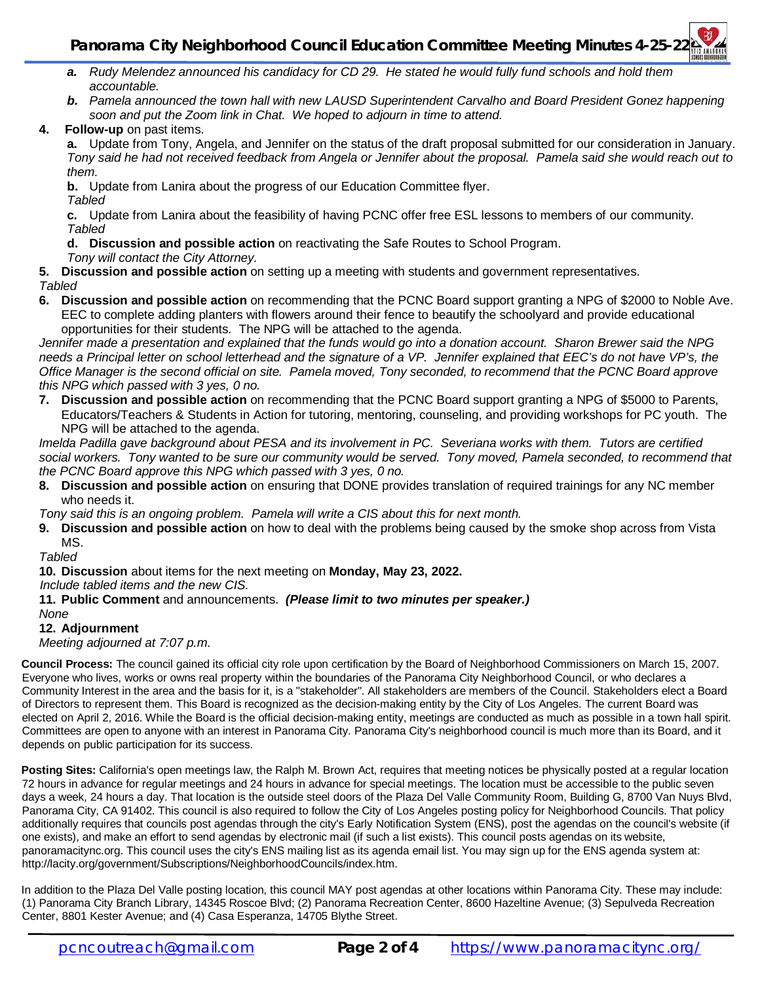- *a. Rudy Melendez announced his candidacy for CD 29. He stated he would fully fund schools and hold them accountable.*
- **b.** Pamela announced the town hall with new LAUSD Superintendent Carvalho and Board President Gonez happening *soon and put the Zoom link in Chat. We hoped to adjourn in time to attend.*
- **4. Follow-up** on past items.

**a.** Update from Tony, Angela, and Jennifer on the status of the draft proposal submitted for our consideration in January. *Tony said he had not received feedback from Angela or Jennifer about the proposal. Pamela said she would reach out to them.*

**b.** Update from Lanira about the progress of our Education Committee flyer. *Tabled*

**c.** Update from Lanira about the feasibility of having PCNC offer free ESL lessons to members of our community. *Tabled*

**d. Discussion and possible action** on reactivating the Safe Routes to School Program.

### *Tony will contact the City Attorney.*

**5. Discussion and possible action** on setting up a meeting with students and government representatives. *Tabled*

**6. Discussion and possible action** on recommending that the PCNC Board support granting a NPG of \$2000 to Noble Ave. EEC to complete adding planters with flowers around their fence to beautify the schoolyard and provide educational opportunities for their students. The NPG will be attached to the agenda.

*Jennifer made a presentation and explained that the funds would go into a donation account. Sharon Brewer said the NPG needs a Principal letter on school letterhead and the signature of a VP. Jennifer explained that EEC's do not have VP's, the Office Manager is the second official on site. Pamela moved, Tony seconded, to recommend that the PCNC Board approve this NPG which passed with 3 yes, 0 no.*

**7. Discussion and possible action** on recommending that the PCNC Board support granting a NPG of \$5000 to Parents, Educators/Teachers & Students in Action for tutoring, mentoring, counseling, and providing workshops for PC youth. The NPG will be attached to the agenda.

*Imelda Padilla gave background about PESA and its involvement in PC. Severiana works with them. Tutors are certified social workers. Tony wanted to be sure our community would be served. Tony moved, Pamela seconded, to recommend that the PCNC Board approve this NPG which passed with 3 yes, 0 no.*

**8. Discussion and possible action** on ensuring that DONE provides translation of required trainings for any NC member who needs it.

*Tony said this is an ongoing problem. Pamela will write a CIS about this for next month.*

**9. Discussion and possible action** on how to deal with the problems being caused by the smoke shop across from Vista MS.

*Tabled*

**10. Discussion** about items for the next meeting on **Monday, May 23, 2022.**

*Include tabled items and the new CIS.*

**11. Public Comment** and announcements. *(Please limit to two minutes per speaker.)*

*None*

#### **12. Adjournment**

*Meeting adjourned at 7:07 p.m.*

**Council Process:** The council gained its official city role upon certification by the Board of Neighborhood Commissioners on March 15, 2007. Everyone who lives, works or owns real property within the boundaries of the Panorama City Neighborhood Council, or who declares a Community Interest in the area and the basis for it, is a "stakeholder". All stakeholders are members of the Council. Stakeholders elect a Board of Directors to represent them. This Board is recognized as the decision-making entity by the City of Los Angeles. The current Board was elected on April 2, 2016. While the Board is the official decision-making entity, meetings are conducted as much as possible in a town hall spirit. Committees are open to anyone with an interest in Panorama City. Panorama City's neighborhood council is much more than its Board, and it depends on public participation for its success.

**Posting Sites:** California's open meetings law, the Ralph M. Brown Act, requires that meeting notices be physically posted at a regular location 72 hours in advance for regular meetings and 24 hours in advance for special meetings. The location must be accessible to the public seven days a week, 24 hours a day. That location is the outside steel doors of the Plaza Del Valle Community Room, Building G, 8700 Van Nuys Blvd, Panorama City, CA 91402. This council is also required to follow the City of Los Angeles posting policy for Neighborhood Councils. That policy additionally requires that councils post agendas through the city's Early Notification System (ENS), post the agendas on the council's website (if one exists), and make an effort to send agendas by electronic mail (if such a list exists). This council posts agendas on its website, panoramacitync.org. This council uses the city's ENS mailing list as its agenda email list. You may sign up for the ENS agenda system at: <http://lacity.org/government/Subscriptions/NeighborhoodCouncils/index.htm.>

In addition to the Plaza Del Valle posting location, this council MAY post agendas at other locations within Panorama City. These may include: (1) Panorama City Branch Library, 14345 Roscoe Blvd; (2) Panorama Recreation Center, 8600 Hazeltine Avenue; (3) Sepulveda Recreation Center, 8801 Kester Avenue; and (4) Casa Esperanza, 14705 Blythe Street.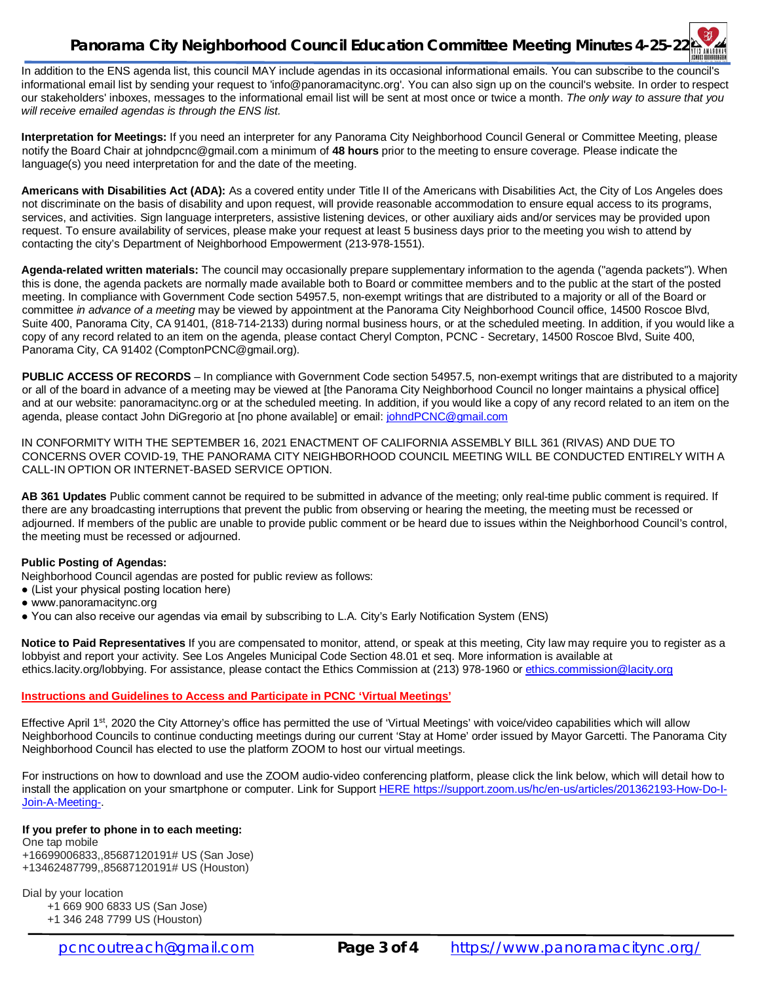# **Panorama City Neighborhood Council Education Committee Meeting Minutes 4-25-22**

In addition to the ENS agenda list, this council MAY include agendas in its occasional informational emails. You can subscribe to the council's informational email list by sending your request to ['info@panoramacitync.org'.](mailto:) You can also sign up on the council's website. In order to respect our stakeholders' inboxes, messages to the informational email list will be sent at most once or twice a month. *The only way to assure that you will receive emailed agendas is through the ENS list.* 

**Interpretation for Meetings:** If you need an interpreter for any Panorama City Neighborhood Council General or Committee Meeting, please notify the Board Chair at [johndpcnc@gmail.com](mailto:johndpcnc@gmail.com) a minimum of **48 hours** prior to the meeting to ensure coverage. Please indicate the language(s) you need interpretation for and the date of the meeting.

**Americans with Disabilities Act (ADA):** As a covered entity under Title II of the Americans with Disabilities Act, the City of Los Angeles does not discriminate on the basis of disability and upon request, will provide reasonable accommodation to ensure equal access to its programs, services, and activities. Sign language interpreters, assistive listening devices, or other auxiliary aids and/or services may be provided upon request. To ensure availability of services, please make your request at least 5 business days prior to the meeting you wish to attend by contacting the city's Department of Neighborhood Empowerment (213-978-1551).

**Agenda-related written materials:** The council may occasionally prepare supplementary information to the agenda ("agenda packets"). When this is done, the agenda packets are normally made available both to Board or committee members and to the public at the start of the posted meeting. In compliance with Government Code section 54957.5, non-exempt writings that are distributed to a majority or all of the Board or committee *in advance of a meeting* may be viewed by appointment at the Panorama City Neighborhood Council office, 14500 Roscoe Blvd, Suite 400, Panorama City, CA 91401, (818-714-2133) during normal business hours, or at the scheduled meeting. In addition, if you would like a copy of any record related to an item on the agenda, please contact Cheryl Compton, PCNC - Secretary, 14500 Roscoe Blvd, Suite 400, Panorama City, CA 91402 [\(ComptonPCNC@gmail.org\).](mailto:(ComptonPCNC@gmail.org).) 

**PUBLIC ACCESS OF RECORDS** – In compliance with Government Code section 54957.5, non-exempt writings that are distributed to a majority or all of the board in advance of a meeting may be viewed at [the Panorama City Neighborhood Council no longer maintains a physical office] and at our website: panoramacitync.org or at the scheduled meeting. In addition, if you would like a copy of any record related to an item on the agenda, please contact John DiGregorio at [no phone available] or email: [johndPCNC@gmail.com](mailto:johndPCNC@gmail.com)

IN CONFORMITY WITH THE SEPTEMBER 16, 2021 ENACTMENT OF CALIFORNIA ASSEMBLY BILL 361 (RIVAS) AND DUE TO CONCERNS OVER COVID-19, THE PANORAMA CITY NEIGHBORHOOD COUNCIL MEETING WILL BE CONDUCTED ENTIRELY WITH A CALL-IN OPTION OR INTERNET-BASED SERVICE OPTION.

**AB 361 Updates** Public comment cannot be required to be submitted in advance of the meeting; only real-time public comment is required. If there are any broadcasting interruptions that prevent the public from observing or hearing the meeting, the meeting must be recessed or adjourned. If members of the public are unable to provide public comment or be heard due to issues within the Neighborhood Council's control, the meeting must be recessed or adjourned.

#### **Public Posting of Agendas:**

Neighborhood Council agendas are posted for public review as follows:

- (List your physical posting location here)
- www.panoramacitync.org
- You can also receive our agendas via email by subscribing to L.A. City's Early Notification System (ENS)

**Notice to Paid Representatives** If you are compensated to monitor, attend, or speak at this meeting, City law may require you to register as a lobbyist and report your activity. See Los Angeles Municipal Code Section 48.01 et seq. More information is available at ethics.lacity.org/lobbying. For assistance, please contact the Ethics Commission at (213) 978-1960 or [ethics.commission@lacity.org](mailto:ethics.commission@lacity.org)

#### **Instructions and Guidelines to Access and Participate in PCNC 'Virtual Meetings'**

Effective April 1<sup>st</sup>, 2020 the City Attorney's office has permitted the use of 'Virtual Meetings' with voice/video capabilities which will allow Neighborhood Councils to continue conducting meetings during our current 'Stay at Home' order issued by Mayor Garcetti. The Panorama City Neighborhood Council has elected to use the platform ZOOM to host our virtual meetings.

For instructions on how to download and use the ZOOM audio-video conferencing platform, please click the link below, which will detail how to install the application on your smartphone or computer. Link for Support HERE<https://support.zoom.us/hc/en-us/articles/201362193-How-Do-I->Join-A-Meeting-.

#### **If you prefer to phone in to each meeting:**

One tap mobile +16699006833,,85687120191# US (San Jose) +13462487799,,85687120191# US (Houston)

Dial by your location

+1 669 900 6833 US (San Jose)

+1 346 248 7799 US (Houston)